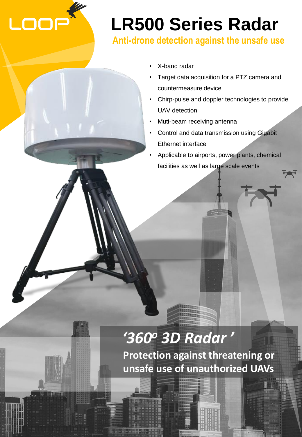

# **LR500 Series Radar**

### **Anti-drone detection against the unsafe use**

- X-band radar
- Target data acquisition for a PTZ camera and countermeasure device
- Chirp-pulse and doppler technologies to provide UAV detection
- Muti-beam receiving antenna
- Control and data transmission using Gigabit Ethernet interface
- Applicable to airports, power plants, chemical facilities as well as large scale events

## *'360<sup>o</sup> 3D Radar '*

**Protection against threatening or unsafe use of unauthorized UAVs**